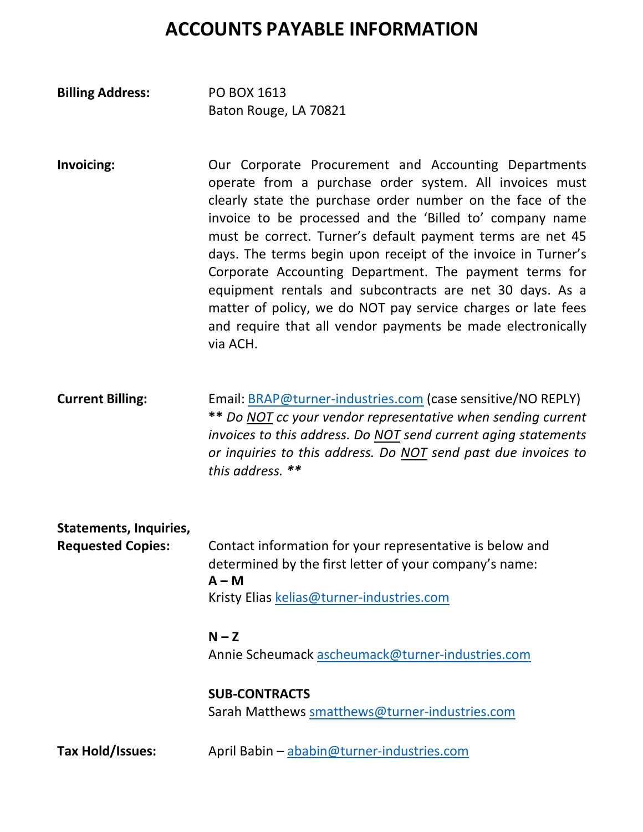## **ACCOUNTS PAYABLE INFORMATION**

| <b>Billing Address:</b> | PO BOX 1613           |
|-------------------------|-----------------------|
|                         | Baton Rouge, LA 70821 |

- **Invoicing:** Our Corporate Procurement and Accounting Departments operate from a purchase order system. All invoices must clearly state the purchase order number on the face of the invoice to be processed and the 'Billed to' company name must be correct. Turner's default payment terms are net 45 days. The terms begin upon receipt of the invoice in Turner's Corporate Accounting Department. The payment terms for equipment rentals and subcontracts are net 30 days. As a matter of policy, we do NOT pay service charges or late fees and require that all vendor payments be made electronically via ACH.
- **Current Billing:** Email: BRAP@turner-industries.com (case sensitive/NO REPLY) **\*\*** *Do NOT cc your vendor representative when sending current invoices to this address. Do NOT send current aging statements or inquiries to this address. Do NOT send past due invoices to this address. \*\**

## **Statements, Inquiries, Requested Copies:** Contact information for your representative is below and determined by the first letter of your company's name: **A – M** Kristy Elias kelias@turner-industries.com  $N - Z$

Annie Scheumack ascheumack@turner-industries.com

## **SUB-CONTRACTS** Sarah Matthews smatthews@turner-industries.com

**Tax Hold/Issues:** April Babin – ababin@turner-industries.com